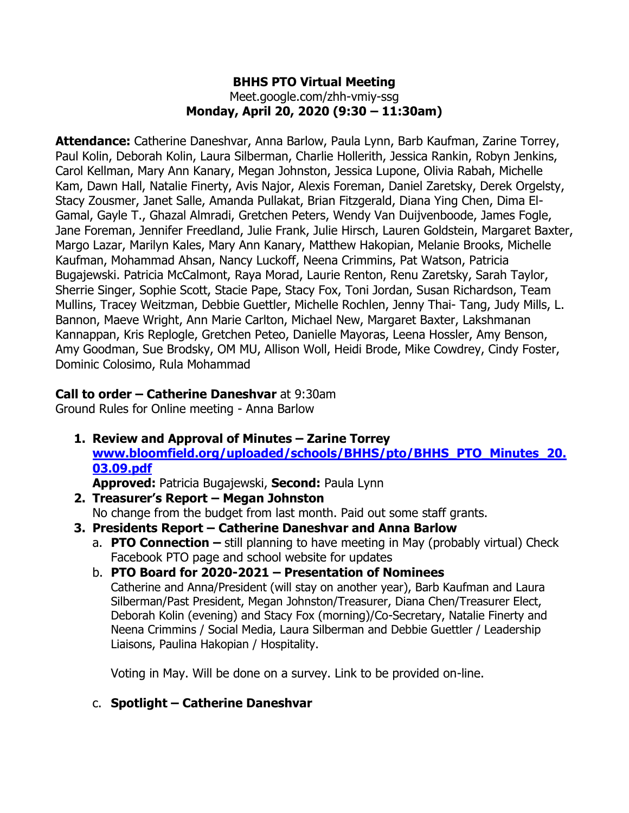#### **BHHS PTO Virtual Meeting** Meet.google.com/zhh-vmiy-ssg **Monday, April 20, 2020 (9:30 – 11:30am)**

**Attendance:** Catherine Daneshvar, Anna Barlow, Paula Lynn, Barb Kaufman, Zarine Torrey, Paul Kolin, Deborah Kolin, Laura Silberman, Charlie Hollerith, Jessica Rankin, Robyn Jenkins, Carol Kellman, Mary Ann Kanary, Megan Johnston, Jessica Lupone, Olivia Rabah, Michelle Kam, Dawn Hall, Natalie Finerty, Avis Najor, Alexis Foreman, Daniel Zaretsky, Derek Orgelsty, Stacy Zousmer, Janet Salle, Amanda Pullakat, Brian Fitzgerald, Diana Ying Chen, Dima El-Gamal, Gayle T., Ghazal Almradi, Gretchen Peters, Wendy Van Duijvenboode, James Fogle, Jane Foreman, Jennifer Freedland, Julie Frank, Julie Hirsch, Lauren Goldstein, Margaret Baxter, Margo Lazar, Marilyn Kales, Mary Ann Kanary, Matthew Hakopian, Melanie Brooks, Michelle Kaufman, Mohammad Ahsan, Nancy Luckoff, Neena Crimmins, Pat Watson, Patricia Bugajewski. Patricia McCalmont, Raya Morad, Laurie Renton, Renu Zaretsky, Sarah Taylor, Sherrie Singer, Sophie Scott, Stacie Pape, Stacy Fox, Toni Jordan, Susan Richardson, Team Mullins, Tracey Weitzman, Debbie Guettler, Michelle Rochlen, Jenny Thai- Tang, Judy Mills, L. Bannon, Maeve Wright, Ann Marie Carlton, Michael New, Margaret Baxter, Lakshmanan Kannappan, Kris Replogle, Gretchen Peteo, Danielle Mayoras, Leena Hossler, Amy Benson, Amy Goodman, Sue Brodsky, OM MU, Allison Woll, Heidi Brode, Mike Cowdrey, Cindy Foster, Dominic Colosimo, Rula Mohammad

## **Call to order – Catherine Daneshvar** at 9:30am

Ground Rules for Online meeting - Anna Barlow

**1. Review and Approval of Minutes – Zarine Torrey [www.bloomfield.org/uploaded/schools/BHHS/pto/BHHS\\_PTO\\_Minutes\\_20.](about:blank) [03.09.pdf](about:blank)** 

**Approved:** Patricia Bugajewski, **Second:** Paula Lynn

- **2. Treasurer's Report – Megan Johnston** No change from the budget from last month. Paid out some staff grants.
- **3. Presidents Report – Catherine Daneshvar and Anna Barlow**
	- a. **PTO Connection –** still planning to have meeting in May (probably virtual) Check Facebook PTO page and school website for updates
	- b. **PTO Board for 2020-2021 – Presentation of Nominees** Catherine and Anna/President (will stay on another year), Barb Kaufman and Laura Silberman/Past President, Megan Johnston/Treasurer, Diana Chen/Treasurer Elect, Deborah Kolin (evening) and Stacy Fox (morning)/Co-Secretary, Natalie Finerty and Neena Crimmins / Social Media, Laura Silberman and Debbie Guettler / Leadership Liaisons, Paulina Hakopian / Hospitality.

Voting in May. Will be done on a survey. Link to be provided on-line.

# c. **Spotlight – Catherine Daneshvar**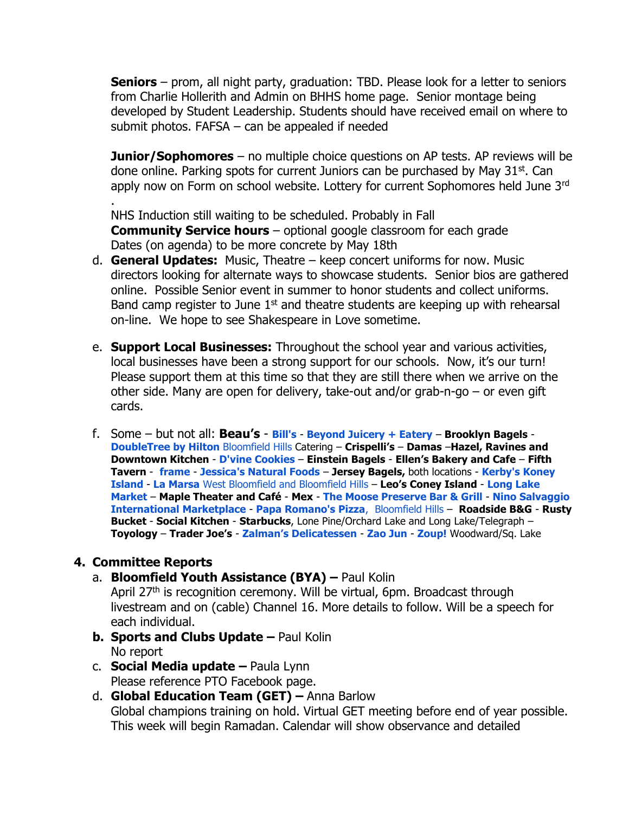**Seniors** – prom, all night party, graduation: TBD. Please look for a letter to seniors from Charlie Hollerith and Admin on BHHS home page. Senior montage being developed by Student Leadership. Students should have received email on where to submit photos. FAFSA – can be appealed if needed

**Junior/Sophomores** – no multiple choice questions on AP tests. AP reviews will be done online. Parking spots for current Juniors can be purchased by May 31st. Can apply now on Form on school website. Lottery for current Sophomores held June 3rd

NHS Induction still waiting to be scheduled. Probably in Fall **Community Service hours** – optional google classroom for each grade Dates (on agenda) to be more concrete by May 18th

- d. **General Updates:** Music, Theatre keep concert uniforms for now. Music directors looking for alternate ways to showcase students. Senior bios are gathered online. Possible Senior event in summer to honor students and collect uniforms. Band camp register to June  $1<sup>st</sup>$  and theatre students are keeping up with rehearsal on-line. We hope to see Shakespeare in Love sometime.
- e. **Support Local Businesses:** Throughout the school year and various activities, local businesses have been a strong support for our schools. Now, it's our turn! Please support them at this time so that they are still there when we arrive on the other side. Many are open for delivery, take-out and/or grab-n-go – or even gift cards.
- f. Some but not all: **Beau's** [-](https://www.facebook.com/BillsBloomfieldHills/?__tn__=%2CdKH-R-R&eid=ARBVcqXkVBaTXZ43jcG5pBLN7ZrtCZPG60_xNpb51tdME7vhPPlhEetk_x4pYJbzNOtPxw6tp40Lgoze&fref=mentions&hc_location=group) **[Bill's](https://www.facebook.com/BillsBloomfieldHills/?__tn__=%2CdKH-R-R&eid=ARBVcqXkVBaTXZ43jcG5pBLN7ZrtCZPG60_xNpb51tdME7vhPPlhEetk_x4pYJbzNOtPxw6tp40Lgoze&fref=mentions&hc_location=group)** [-](https://www.facebook.com/BeyondJuiceMapleRd/?__tn__=%2CdKH-R-R&eid=ARBZS1P0qlQb6vLlGWnvw4_rkWEwp_6rMci5z3xSQe-qmBrSL_I6VTo5VhvIstPqzndWosnwdcdjBzKL&fref=mentions&hc_location=group) **[Beyond Juicery + Eatery](https://www.facebook.com/BeyondJuiceMapleRd/?__tn__=%2CdKH-R-R&eid=ARBZS1P0qlQb6vLlGWnvw4_rkWEwp_6rMci5z3xSQe-qmBrSL_I6VTo5VhvIstPqzndWosnwdcdjBzKL&fref=mentions&hc_location=group) Brooklyn Bagels** [-](https://www.facebook.com/DoubleTree-by-Hilton-Bloomfield-Hills-1783878128588885/?__tn__=%2CdKH-R-R&eid=ARAr2yW8A1tv8OJi7ncHxNJNNlLsgkBKjfMFo0MOpdAppBW4NUMoySwWG6Ihthy9yip6PxHvbSGVQg-I&fref=mentions&hc_location=group) **[DoubleTree by Hilton](https://www.facebook.com/DoubleTree-by-Hilton-Bloomfield-Hills-1783878128588885/?__tn__=%2CdKH-R-R&eid=ARAr2yW8A1tv8OJi7ncHxNJNNlLsgkBKjfMFo0MOpdAppBW4NUMoySwWG6Ihthy9yip6PxHvbSGVQg-I&fref=mentions&hc_location=group)** [Bloomfield Hills](https://www.facebook.com/DoubleTree-by-Hilton-Bloomfield-Hills-1783878128588885/?__tn__=%2CdKH-R-R&eid=ARAr2yW8A1tv8OJi7ncHxNJNNlLsgkBKjfMFo0MOpdAppBW4NUMoySwWG6Ihthy9yip6PxHvbSGVQg-I&fref=mentions&hc_location=group) Catering – **Crispelli's** – **Damas** –**Hazel, Ravines and Downtown Kitchen** - **[D'vine Cookies](https://www.facebook.com/Dvinecookies/?__tn__=%2CdKH-R-R&eid=ARAkefcnNavbld4QjIoviGzlteePK_wl6z2hG8tFXgD7in-a_VRx7GoGozoGhXeI9Gn_Uf06VQoyY-k-&fref=mentions&hc_location=group)** – **Einstein Bagels** - **Ellen's Bakery and Cafe** – **Fifth Tavern** - **[frame](https://www.facebook.com/framehazelpark/?__tn__=%2CdKH-R-R&eid=ARATKr0O0nS4QVMeHTFDt-d4sz3p8x08DLDMgvjJpYTEPa7xebqtaOpTfxNCShge_1mngC18-hXV7g62&fref=mentions&hc_location=group)** - **[Jessica's Natural Foods](https://www.facebook.com/pages/Jessicas-Natural-Foods/112469052428526?__tn__=%2CdKH-R-R&eid=ARBYLteG8hKZ7fAcmJ4oqGICYsHM5YHMUEN0I5o-BizFJhhCVvegJED6hW6mDpGe1OATENhOstH29iht&fref=mentions&hc_location=group)** – **Jersey Bagels,** both locations [-](https://www.facebook.com/pages/Kerbys-Koney-Island/113511138682659?__tn__=%2CdKH-R-R&eid=ARBC1PXrbue3n39BLGoDNJH9bD-NAsRkQXcHoST5KrDafDzbFZfDW8KvoExznQbEuGsa62t7v6yDqz5D&fref=mentions&hc_location=group) **[Kerby's Koney](https://www.facebook.com/pages/Kerbys-Koney-Island/113511138682659?__tn__=%2CdKH-R-R&eid=ARBC1PXrbue3n39BLGoDNJH9bD-NAsRkQXcHoST5KrDafDzbFZfDW8KvoExznQbEuGsa62t7v6yDqz5D&fref=mentions&hc_location=group)  [Island](https://www.facebook.com/pages/Kerbys-Koney-Island/113511138682659?__tn__=%2CdKH-R-R&eid=ARBC1PXrbue3n39BLGoDNJH9bD-NAsRkQXcHoST5KrDafDzbFZfDW8KvoExznQbEuGsa62t7v6yDqz5D&fref=mentions&hc_location=group)** - **[La Marsa](https://www.facebook.com/pages/La-Marsa-Bloomfield-Hills/337364356847429?__tn__=%2CdKH-R-R&eid=ARCEuy83yTUGD69c7zBuIz0YJB8_qLOOkEy3aHmJUWgEXNcIghT-tPrxTBnqhgJAh5HY8MZzu3-yw9KF&fref=mentions&hc_location=group)** [West Bloomfield and Bloomfield Hills](https://www.facebook.com/pages/La-Marsa-Bloomfield-Hills/337364356847429?__tn__=%2CdKH-R-R&eid=ARCEuy83yTUGD69c7zBuIz0YJB8_qLOOkEy3aHmJUWgEXNcIghT-tPrxTBnqhgJAh5HY8MZzu3-yw9KF&fref=mentions&hc_location=group) – **Leo's Coney Island** - **[Long Lake](https://www.facebook.com/Long-Lake-Market-2164850196936528/?__tn__=%2CdKH-R-R&eid=ARBoG8rIko-Yx7PaTPNFANRUQHDPoZpER_TODmQTFjVo2jVykqCa_-APBQXVdaNaRSskO68Su9ilWpQg&fref=mentions&hc_location=group)  [Market](https://www.facebook.com/Long-Lake-Market-2164850196936528/?__tn__=%2CdKH-R-R&eid=ARBoG8rIko-Yx7PaTPNFANRUQHDPoZpER_TODmQTFjVo2jVykqCa_-APBQXVdaNaRSskO68Su9ilWpQg&fref=mentions&hc_location=group)** – **Maple Theater and Café** - **Mex** [-](https://www.facebook.com/themoosepreserve/?__tn__=%2CdKH-R-R&eid=ARAVrLEF9aNdidh937s1JLdXtL0VEbA8zpzysPUtt5VXehZwh2VVRH6U2JEw2iwr-Y3sNPJDTaC__gTM&fref=mentions&hc_location=group) **[The Moose Preserve Bar & Grill](https://www.facebook.com/themoosepreserve/?__tn__=%2CdKH-R-R&eid=ARAVrLEF9aNdidh937s1JLdXtL0VEbA8zpzysPUtt5VXehZwh2VVRH6U2JEw2iwr-Y3sNPJDTaC__gTM&fref=mentions&hc_location=group)** [-](https://www.facebook.com/Nino-Salvaggio-International-Marketplace-288549268366784/?__tn__=%2CdKH-R-R&eid=ARDlPU2CcD1YqS3JVO9MO-FW1ynTwE0w4DYuXvTuDnWJV90yU0tKFqIosiOWLyd-rIABqQ2-fN_QEMfl&fref=mentions&hc_location=group) **[Nino Salvaggio](https://www.facebook.com/Nino-Salvaggio-International-Marketplace-288549268366784/?__tn__=%2CdKH-R-R&eid=ARDlPU2CcD1YqS3JVO9MO-FW1ynTwE0w4DYuXvTuDnWJV90yU0tKFqIosiOWLyd-rIABqQ2-fN_QEMfl&fref=mentions&hc_location=group)  [International Marketplace](https://www.facebook.com/Nino-Salvaggio-International-Marketplace-288549268366784/?__tn__=%2CdKH-R-R&eid=ARDlPU2CcD1YqS3JVO9MO-FW1ynTwE0w4DYuXvTuDnWJV90yU0tKFqIosiOWLyd-rIABqQ2-fN_QEMfl&fref=mentions&hc_location=group)** - **[Papa Romano's Pizza](https://www.facebook.com/Papa-Romanos-Pizza-Bloomfield-Hills-128431050543712/?__tn__=%2CdKH-R-R&eid=ARDIWxe_JjlHw5ybOXy0c9cVJo3jFwLtz5RjERoOjF-2QI8Rt4fljzsC9AA-L3qZCDFqJ1tzUMyQDrBi&fref=mentions&hc_location=group)**[, Bloomfield Hills](https://www.facebook.com/Papa-Romanos-Pizza-Bloomfield-Hills-128431050543712/?__tn__=%2CdKH-R-R&eid=ARDIWxe_JjlHw5ybOXy0c9cVJo3jFwLtz5RjERoOjF-2QI8Rt4fljzsC9AA-L3qZCDFqJ1tzUMyQDrBi&fref=mentions&hc_location=group) – **Roadside B&G** - **Rusty Bucket** - **Social Kitchen** - **Starbucks**, Lone Pine/Orchard Lake and Long Lake/Telegraph – **Toyology** – **Trader Joe's** [-](https://www.facebook.com/zalmansdeli/?__tn__=%2CdKH-R-R&eid=ARACTLJeAp24jZKWMmR_hTXbc_HL00D7F1vS02jcXvCBBP3Ucbq0bEu-hiPVAjM5-mFBJPXE6K6b_ljy&fref=mentions&hc_location=group) **[Zalman's Delicatessen](https://www.facebook.com/zalmansdeli/?__tn__=%2CdKH-R-R&eid=ARACTLJeAp24jZKWMmR_hTXbc_HL00D7F1vS02jcXvCBBP3Ucbq0bEu-hiPVAjM5-mFBJPXE6K6b_ljy&fref=mentions&hc_location=group)** - **[Zao Jun](https://www.facebook.com/zaojunnewasian/?__tn__=%2CdKH-R-R&eid=ARAQ833B5Mp6JnOVT4ZenFAfGBlDuK0aEdtA3tFsm4_-pTypIBcL-xLOTHSaevYTTuMVziO_wqG5DqJ7&fref=mentions&hc_location=group)** - **[Zoup!](https://www.facebook.com/ZoupBloomfield/?__tn__=%2CdKH-R-R&eid=ARBUgmE4DDoWdVnWVX1ng2aD0uq1Tts49yidYDApO987RZx-cvNQTaROAMEvRvteLVrvq2ycUn-XbVsQ&fref=mentions&hc_location=group)** Woodward/Sq. Lake

#### **4. Committee Reports**

.

a. **Bloomfield Youth Assistance (BYA) –** Paul Kolin

April 27<sup>th</sup> is recognition ceremony. Will be virtual, 6pm. Broadcast through livestream and on (cable) Channel 16. More details to follow. Will be a speech for each individual.

- **b. Sports and Clubs Update** Paul Kolin No report
- c. **Social Media update –** Paula Lynn Please reference PTO Facebook page.
- d. **Global Education Team (GET) –** Anna Barlow Global champions training on hold. Virtual GET meeting before end of year possible. This week will begin Ramadan. Calendar will show observance and detailed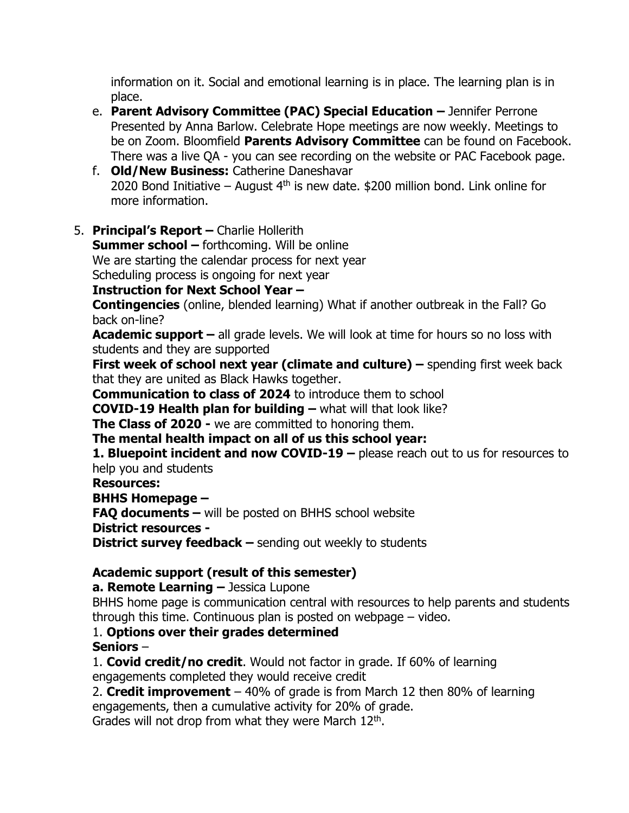information on it. Social and emotional learning is in place. The learning plan is in place.

- e. **Parent Advisory Committee (PAC) Special Education –** Jennifer Perrone Presented by Anna Barlow. Celebrate Hope meetings are now weekly. Meetings to be on Zoom. Bloomfield **Parents Advisory Committee** can be found on Facebook. There was a live QA - you can see recording on the website or PAC Facebook page.
- f. **Old/New Business:** Catherine Daneshavar 2020 Bond Initiative – August  $4<sup>th</sup>$  is new date. \$200 million bond. Link online for more information.
- 5. **Principal's Report –** Charlie Hollerith

**Summer school –** forthcoming. Will be online We are starting the calendar process for next year Scheduling process is ongoing for next year

## **Instruction for Next School Year –**

**Contingencies** (online, blended learning) What if another outbreak in the Fall? Go back on-line?

**Academic support –** all grade levels. We will look at time for hours so no loss with students and they are supported

**First week of school next year (climate and culture) –** spending first week back that they are united as Black Hawks together.

**Communication to class of 2024** to introduce them to school

**COVID-19 Health plan for building –** what will that look like?

**The Class of 2020 -** we are committed to honoring them.

**The mental health impact on all of us this school year:**

**1. Bluepoint incident and now COVID-19 –** please reach out to us for resources to help you and students

**Resources:**

**BHHS Homepage –**

**FAQ documents –** will be posted on BHHS school website

**District resources -**

**District survey feedback –** sending out weekly to students

# **Academic support (result of this semester)**

**a. Remote Learning –** Jessica Lupone

BHHS home page is communication central with resources to help parents and students through this time. Continuous plan is posted on webpage – video.

## 1. **Options over their grades determined**

#### **Seniors** –

1. **Covid credit/no credit**. Would not factor in grade. If 60% of learning

engagements completed they would receive credit

2. **Credit improvement** – 40% of grade is from March 12 then 80% of learning engagements, then a cumulative activity for 20% of grade.

Grades will not drop from what they were March 12<sup>th</sup>.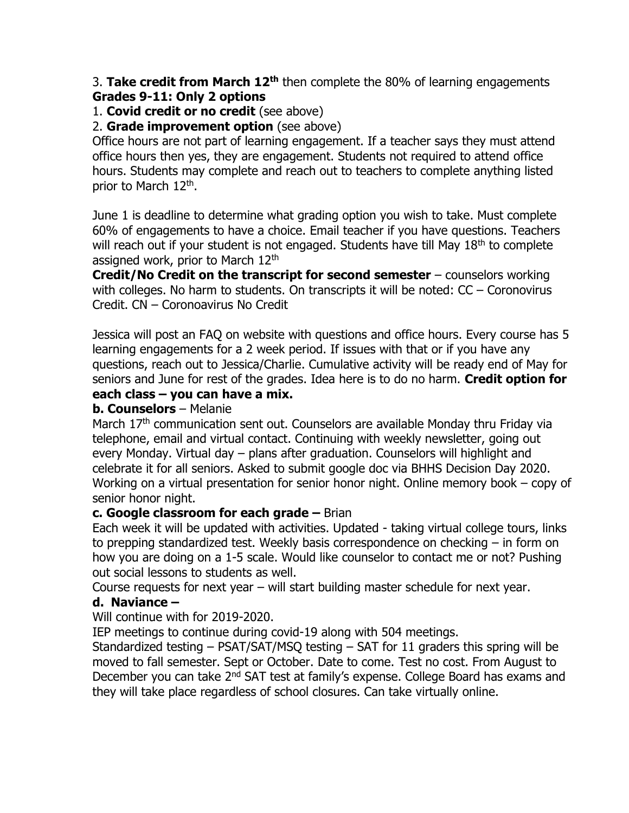3. **Take credit from March 12th** then complete the 80% of learning engagements **Grades 9-11: Only 2 options**

#### 1. **Covid credit or no credit** (see above)

#### 2. **Grade improvement option** (see above)

Office hours are not part of learning engagement. If a teacher says they must attend office hours then yes, they are engagement. Students not required to attend office hours. Students may complete and reach out to teachers to complete anything listed prior to March 12<sup>th</sup>.

June 1 is deadline to determine what grading option you wish to take. Must complete 60% of engagements to have a choice. Email teacher if you have questions. Teachers will reach out if your student is not engaged. Students have till May 18<sup>th</sup> to complete assigned work, prior to March 12<sup>th</sup>

**Credit/No Credit on the transcript for second semester** – counselors working with colleges. No harm to students. On transcripts it will be noted: CC – Coronovirus Credit. CN – Coronoavirus No Credit

Jessica will post an FAQ on website with questions and office hours. Every course has 5 learning engagements for a 2 week period. If issues with that or if you have any questions, reach out to Jessica/Charlie. Cumulative activity will be ready end of May for seniors and June for rest of the grades. Idea here is to do no harm. **Credit option for each class – you can have a mix.** 

# **b. Counselors** – Melanie

March 17<sup>th</sup> communication sent out. Counselors are available Monday thru Friday via telephone, email and virtual contact. Continuing with weekly newsletter, going out every Monday. Virtual day – plans after graduation. Counselors will highlight and celebrate it for all seniors. Asked to submit google doc via BHHS Decision Day 2020. Working on a virtual presentation for senior honor night. Online memory book – copy of senior honor night.

#### **c. Google classroom for each grade –** Brian

Each week it will be updated with activities. Updated - taking virtual college tours, links to prepping standardized test. Weekly basis correspondence on checking – in form on how you are doing on a 1-5 scale. Would like counselor to contact me or not? Pushing out social lessons to students as well.

Course requests for next year – will start building master schedule for next year.

#### **d. Naviance –**

Will continue with for 2019-2020.

IEP meetings to continue during covid-19 along with 504 meetings.

Standardized testing – PSAT/SAT/MSQ testing – SAT for 11 graders this spring will be moved to fall semester. Sept or October. Date to come. Test no cost. From August to December you can take 2<sup>nd</sup> SAT test at family's expense. College Board has exams and they will take place regardless of school closures. Can take virtually online.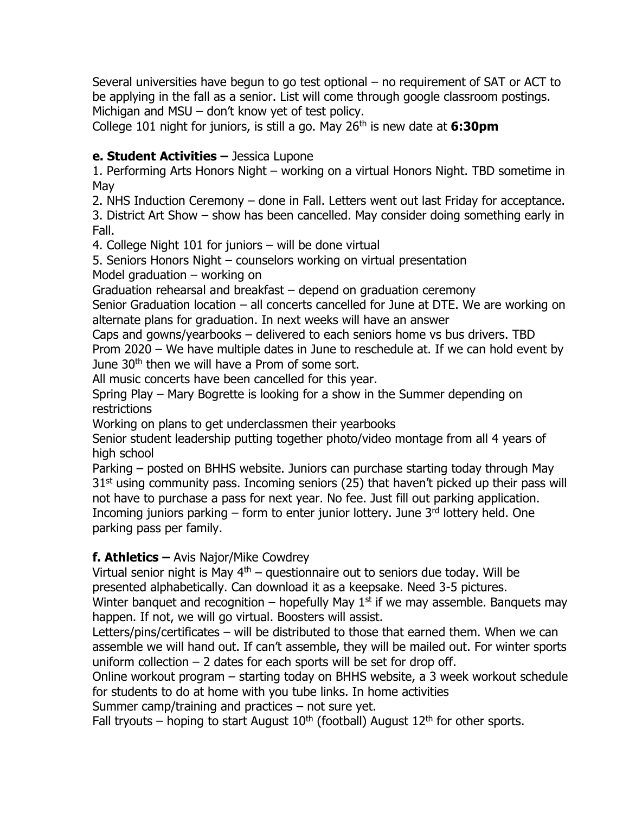Several universities have begun to go test optional – no requirement of SAT or ACT to be applying in the fall as a senior. List will come through google classroom postings. Michigan and MSU – don't know yet of test policy.

College 101 night for juniors, is still a go. May 26th is new date at **6:30pm**

## **e. Student Activities –** Jessica Lupone

1. Performing Arts Honors Night – working on a virtual Honors Night. TBD sometime in May

2. NHS Induction Ceremony – done in Fall. Letters went out last Friday for acceptance.

3. District Art Show – show has been cancelled. May consider doing something early in Fall.

4. College Night 101 for juniors – will be done virtual

5. Seniors Honors Night – counselors working on virtual presentation Model graduation – working on

Graduation rehearsal and breakfast – depend on graduation ceremony

Senior Graduation location – all concerts cancelled for June at DTE. We are working on alternate plans for graduation. In next weeks will have an answer

Caps and gowns/yearbooks – delivered to each seniors home vs bus drivers. TBD Prom 2020 – We have multiple dates in June to reschedule at. If we can hold event by June 30<sup>th</sup> then we will have a Prom of some sort.

All music concerts have been cancelled for this year.

Spring Play – Mary Bogrette is looking for a show in the Summer depending on restrictions

Working on plans to get underclassmen their yearbooks

Senior student leadership putting together photo/video montage from all 4 years of high school

Parking – posted on BHHS website. Juniors can purchase starting today through May  $31<sup>st</sup>$  using community pass. Incoming seniors (25) that haven't picked up their pass will not have to purchase a pass for next year. No fee. Just fill out parking application. Incoming juniors parking  $-$  form to enter junior lottery. June  $3<sup>rd</sup>$  lottery held. One parking pass per family.

## **f. Athletics –** Avis Najor/Mike Cowdrey

Virtual senior night is May  $4<sup>th</sup>$  – questionnaire out to seniors due today. Will be presented alphabetically. Can download it as a keepsake. Need 3-5 pictures.

Winter banquet and recognition – hopefully May  $1<sup>st</sup>$  if we may assemble. Banquets may happen. If not, we will go virtual. Boosters will assist.

Letters/pins/certificates – will be distributed to those that earned them. When we can assemble we will hand out. If can't assemble, they will be mailed out. For winter sports uniform collection  $-2$  dates for each sports will be set for drop off.

Online workout program – starting today on BHHS website, a 3 week workout schedule for students to do at home with you tube links. In home activities

Summer camp/training and practices – not sure yet.

Fall tryouts – hoping to start August  $10<sup>th</sup>$  (football) August  $12<sup>th</sup>$  for other sports.